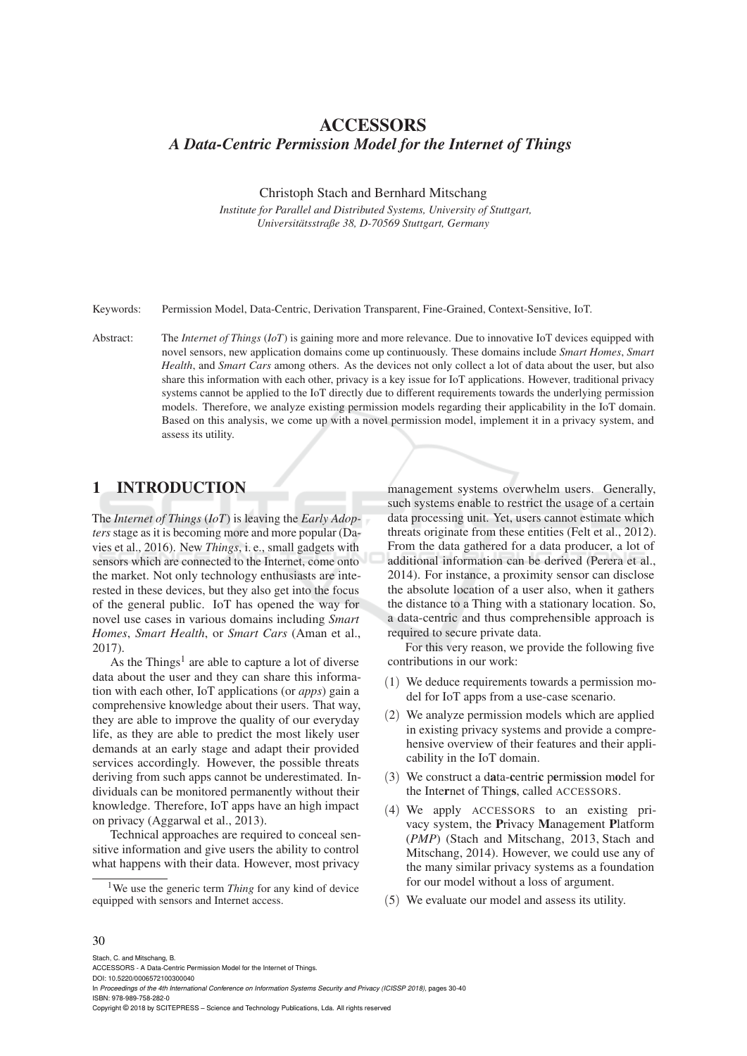## **ACCESSORS** *A Data-Centric Permission Model for the Internet of Things*

#### Christoph Stach and Bernhard Mitschang

*Institute for Parallel and Distributed Systems, University of Stuttgart, Universitatsstraße 38, D-70569 Stuttgart, Germany ¨*

Keywords: Permission Model, Data-Centric, Derivation Transparent, Fine-Grained, Context-Sensitive, IoT.

Abstract: The *Internet of Things* (*IoT*) is gaining more and more relevance. Due to innovative IoT devices equipped with novel sensors, new application domains come up continuously. These domains include *Smart Homes*, *Smart Health*, and *Smart Cars* among others. As the devices not only collect a lot of data about the user, but also share this information with each other, privacy is a key issue for IoT applications. However, traditional privacy systems cannot be applied to the IoT directly due to different requirements towards the underlying permission models. Therefore, we analyze existing permission models regarding their applicability in the IoT domain. Based on this analysis, we come up with a novel permission model, implement it in a privacy system, and assess its utility.

## 1 INTRODUCTION

The *Internet of Things* (*IoT*) is leaving the *Early Adopters* stage as it is becoming more and more popular (Davies et al., 2016). New *Things*, i. e., small gadgets with sensors which are connected to the Internet, come onto the market. Not only technology enthusiasts are interested in these devices, but they also get into the focus of the general public. IoT has opened the way for novel use cases in various domains including *Smart Homes*, *Smart Health*, or *Smart Cars* (Aman et al., 2017).

As the Things<sup>1</sup> are able to capture a lot of diverse data about the user and they can share this information with each other, IoT applications (or *apps*) gain a comprehensive knowledge about their users. That way, they are able to improve the quality of our everyday life, as they are able to predict the most likely user demands at an early stage and adapt their provided services accordingly. However, the possible threats deriving from such apps cannot be underestimated. Individuals can be monitored permanently without their knowledge. Therefore, IoT apps have an high impact on privacy (Aggarwal et al., 2013).

Technical approaches are required to conceal sensitive information and give users the ability to control what happens with their data. However, most privacy

management systems overwhelm users. Generally, such systems enable to restrict the usage of a certain data processing unit. Yet, users cannot estimate which threats originate from these entities (Felt et al., 2012). From the data gathered for a data producer, a lot of additional information can be derived (Perera et al., 2014). For instance, a proximity sensor can disclose the absolute location of a user also, when it gathers the distance to a Thing with a stationary location. So, a data-centric and thus comprehensible approach is required to secure private data.

For this very reason, we provide the following five contributions in our work:

- (1) We deduce requirements towards a permission model for IoT apps from a use-case scenario.
- (2) We analyze permission models which are applied in existing privacy systems and provide a comprehensive overview of their features and their applicability in the IoT domain.
- (3) We construct a data-centric permission model for the Internet of Things, called ACCESSORS.
- (4) We apply ACCESSORS to an existing privacy system, the Privacy Management Platform (*PMP*) (Stach and Mitschang, 2013, Stach and Mitschang, 2014). However, we could use any of the many similar privacy systems as a foundation for our model without a loss of argument.
- (5) We evaluate our model and assess its utility.

#### 30

Stach, C. and Mitschang, B.

<sup>&</sup>lt;sup>1</sup>We use the generic term *Thing* for any kind of device equipped with sensors and Internet access.

ACCESSORS - A Data-Centric Permission Model for the Internet of Things. DOI: 10.5220/0006572100300040

In *Proceedings of the 4th International Conference on Information Systems Security and Privacy (ICISSP 2018)*, pages 30-40 ISBN: 978-989-758-282-0

Copyright © 2018 by SCITEPRESS – Science and Technology Publications, Lda. All rights reserved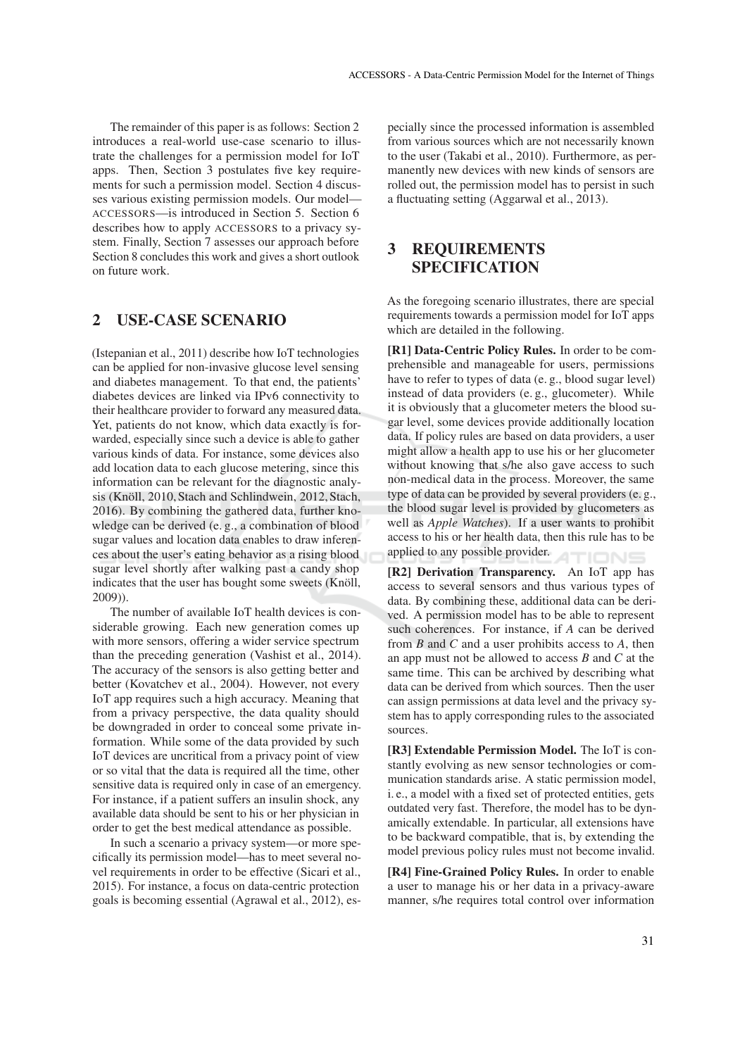The remainder of this paper is as follows: Section 2 introduces a real-world use-case scenario to illustrate the challenges for a permission model for IoT apps. Then, Section 3 postulates five key requirements for such a permission model. Section 4 discusses various existing permission models. Our model— ACCESSORS—is introduced in Section 5. Section 6 describes how to apply ACCESSORS to a privacy system. Finally, Section 7 assesses our approach before Section 8 concludes this work and gives a short outlook on future work.

## 2 USE-CASE SCENARIO

(Istepanian et al., 2011) describe how IoT technologies can be applied for non-invasive glucose level sensing and diabetes management. To that end, the patients' diabetes devices are linked via IPv6 connectivity to their healthcare provider to forward any measured data. Yet, patients do not know, which data exactly is forwarded, especially since such a device is able to gather various kinds of data. For instance, some devices also add location data to each glucose metering, since this information can be relevant for the diagnostic analysis (Knöll, 2010, Stach and Schlindwein, 2012, Stach, 2016). By combining the gathered data, further knowledge can be derived (e. g., a combination of blood sugar values and location data enables to draw inferences about the user's eating behavior as a rising blood sugar level shortly after walking past a candy shop indicates that the user has bought some sweets (Knöll, 2009)).

The number of available IoT health devices is considerable growing. Each new generation comes up with more sensors, offering a wider service spectrum than the preceding generation (Vashist et al., 2014). The accuracy of the sensors is also getting better and better (Kovatchev et al., 2004). However, not every IoT app requires such a high accuracy. Meaning that from a privacy perspective, the data quality should be downgraded in order to conceal some private information. While some of the data provided by such IoT devices are uncritical from a privacy point of view or so vital that the data is required all the time, other sensitive data is required only in case of an emergency. For instance, if a patient suffers an insulin shock, any available data should be sent to his or her physician in order to get the best medical attendance as possible.

In such a scenario a privacy system—or more specifically its permission model—has to meet several novel requirements in order to be effective (Sicari et al., 2015). For instance, a focus on data-centric protection goals is becoming essential (Agrawal et al., 2012), es-

pecially since the processed information is assembled from various sources which are not necessarily known to the user (Takabi et al., 2010). Furthermore, as permanently new devices with new kinds of sensors are rolled out, the permission model has to persist in such a fluctuating setting (Aggarwal et al., 2013).

## 3 REQUIREMENTS SPECIFICATION

As the foregoing scenario illustrates, there are special requirements towards a permission model for IoT apps which are detailed in the following.

[R1] Data-Centric Policy Rules. In order to be comprehensible and manageable for users, permissions have to refer to types of data (e. g., blood sugar level) instead of data providers (e. g., glucometer). While it is obviously that a glucometer meters the blood sugar level, some devices provide additionally location data. If policy rules are based on data providers, a user might allow a health app to use his or her glucometer without knowing that s/he also gave access to such non-medical data in the process. Moreover, the same type of data can be provided by several providers (e. g., the blood sugar level is provided by glucometers as well as *Apple Watches*). If a user wants to prohibit access to his or her health data, then this rule has to be applied to any possible provider.

[R2] Derivation Transparency. An IoT app has access to several sensors and thus various types of data. By combining these, additional data can be derived. A permission model has to be able to represent such coherences. For instance, if *A* can be derived from *B* and *C* and a user prohibits access to *A*, then an app must not be allowed to access *B* and *C* at the same time. This can be archived by describing what data can be derived from which sources. Then the user can assign permissions at data level and the privacy system has to apply corresponding rules to the associated sources.

[R3] Extendable Permission Model. The IoT is constantly evolving as new sensor technologies or communication standards arise. A static permission model, i. e., a model with a fixed set of protected entities, gets outdated very fast. Therefore, the model has to be dynamically extendable. In particular, all extensions have to be backward compatible, that is, by extending the model previous policy rules must not become invalid.

[R4] Fine-Grained Policy Rules. In order to enable a user to manage his or her data in a privacy-aware manner, s/he requires total control over information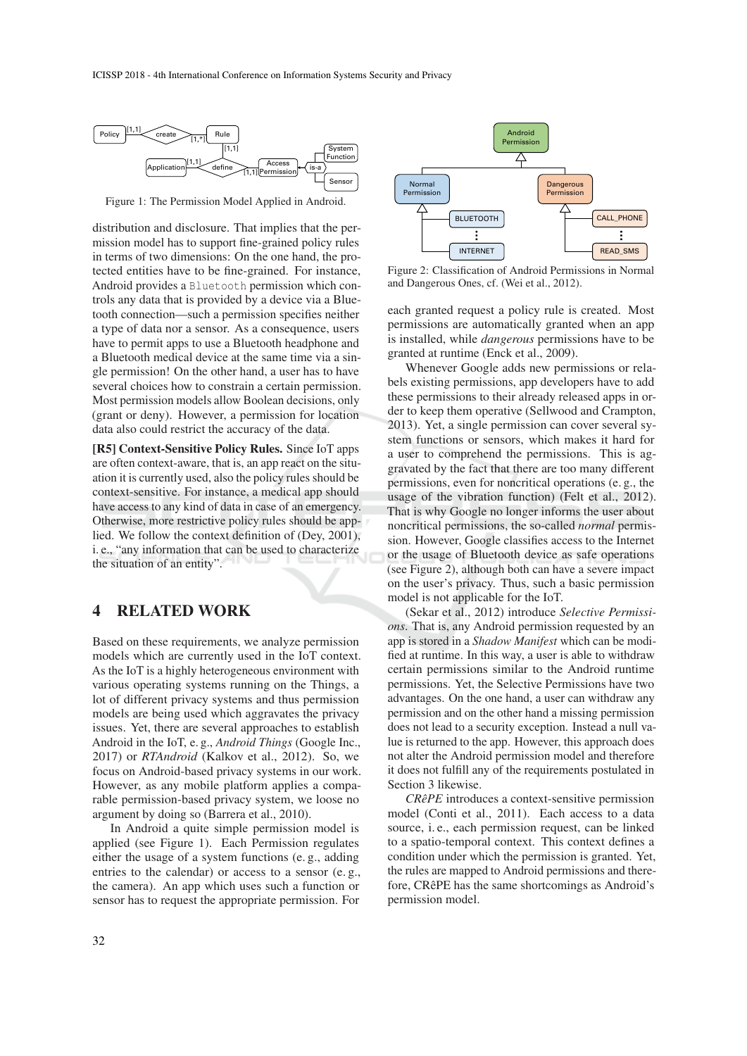

Figure 1: The Permission Model Applied in Android.

distribution and disclosure. That implies that the permission model has to support fine-grained policy rules in terms of two dimensions: On the one hand, the protected entities have to be fine-grained. For instance, Android provides a Bluetooth permission which controls any data that is provided by a device via a Bluetooth connection—such a permission specifies neither a type of data nor a sensor. As a consequence, users have to permit apps to use a Bluetooth headphone and a Bluetooth medical device at the same time via a single permission! On the other hand, a user has to have several choices how to constrain a certain permission. Most permission models allow Boolean decisions, only (grant or deny). However, a permission for location data also could restrict the accuracy of the data.

[R5] Context-Sensitive Policy Rules. Since IoT apps are often context-aware, that is, an app react on the situation it is currently used, also the policy rules should be context-sensitive. For instance, a medical app should have access to any kind of data in case of an emergency. Otherwise, more restrictive policy rules should be applied. We follow the context definition of (Dey, 2001), i. e., "any information that can be used to characterize the situation of an entity".

## 4 RELATED WORK

Based on these requirements, we analyze permission models which are currently used in the IoT context. As the IoT is a highly heterogeneous environment with various operating systems running on the Things, a lot of different privacy systems and thus permission models are being used which aggravates the privacy issues. Yet, there are several approaches to establish Android in the IoT, e. g., *Android Things* (Google Inc., 2017) or *RTAndroid* (Kalkov et al., 2012). So, we focus on Android-based privacy systems in our work. However, as any mobile platform applies a comparable permission-based privacy system, we loose no argument by doing so (Barrera et al., 2010).

In Android a quite simple permission model is applied (see Figure 1). Each Permission regulates either the usage of a system functions (e. g., adding entries to the calendar) or access to a sensor (e. g., the camera). An app which uses such a function or sensor has to request the appropriate permission. For



Figure 2: Classification of Android Permissions in Normal and Dangerous Ones, cf. (Wei et al., 2012).

each granted request a policy rule is created. Most permissions are automatically granted when an app is installed, while *dangerous* permissions have to be granted at runtime (Enck et al., 2009).

Whenever Google adds new permissions or relabels existing permissions, app developers have to add these permissions to their already released apps in order to keep them operative (Sellwood and Crampton, 2013). Yet, a single permission can cover several system functions or sensors, which makes it hard for a user to comprehend the permissions. This is aggravated by the fact that there are too many different permissions, even for noncritical operations (e. g., the usage of the vibration function) (Felt et al., 2012). That is why Google no longer informs the user about noncritical permissions, the so-called *normal* permission. However, Google classifies access to the Internet or the usage of Bluetooth device as safe operations (see Figure 2), although both can have a severe impact on the user's privacy. Thus, such a basic permission model is not applicable for the IoT.

(Sekar et al., 2012) introduce *Selective Permissions*. That is, any Android permission requested by an app is stored in a *Shadow Manifest* which can be modified at runtime. In this way, a user is able to withdraw certain permissions similar to the Android runtime permissions. Yet, the Selective Permissions have two advantages. On the one hand, a user can withdraw any permission and on the other hand a missing permission does not lead to a security exception. Instead a null value is returned to the app. However, this approach does not alter the Android permission model and therefore it does not fulfill any of the requirements postulated in Section 3 likewise.

*CRêPE* introduces a context-sensitive permission model (Conti et al., 2011). Each access to a data source, i. e., each permission request, can be linked to a spatio-temporal context. This context defines a condition under which the permission is granted. Yet, the rules are mapped to Android permissions and therefore, CRêPE has the same shortcomings as Android's permission model.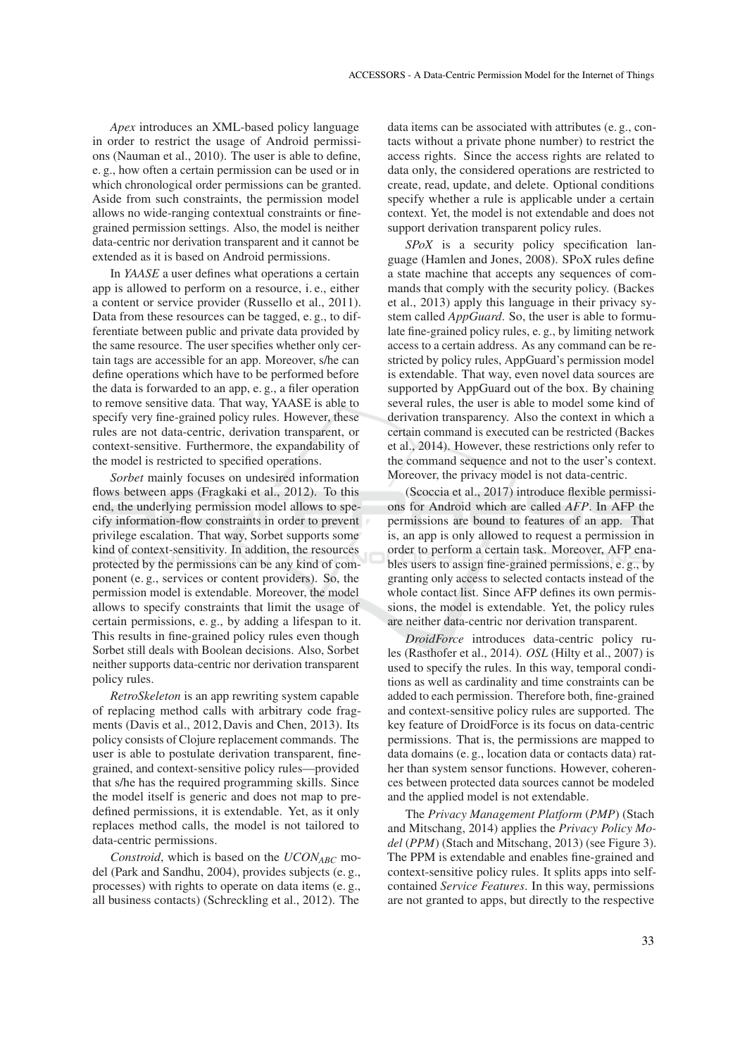*Apex* introduces an XML-based policy language in order to restrict the usage of Android permissions (Nauman et al., 2010). The user is able to define, e. g., how often a certain permission can be used or in which chronological order permissions can be granted. Aside from such constraints, the permission model allows no wide-ranging contextual constraints or finegrained permission settings. Also, the model is neither data-centric nor derivation transparent and it cannot be extended as it is based on Android permissions.

In *YAASE* a user defines what operations a certain app is allowed to perform on a resource, i. e., either a content or service provider (Russello et al., 2011). Data from these resources can be tagged, e. g., to differentiate between public and private data provided by the same resource. The user specifies whether only certain tags are accessible for an app. Moreover, s/he can define operations which have to be performed before the data is forwarded to an app, e. g., a filer operation to remove sensitive data. That way, YAASE is able to specify very fine-grained policy rules. However, these rules are not data-centric, derivation transparent, or context-sensitive. Furthermore, the expandability of the model is restricted to specified operations.

*Sorbet* mainly focuses on undesired information flows between apps (Fragkaki et al., 2012). To this end, the underlying permission model allows to specify information-flow constraints in order to prevent privilege escalation. That way, Sorbet supports some kind of context-sensitivity. In addition, the resources protected by the permissions can be any kind of component (e. g., services or content providers). So, the permission model is extendable. Moreover, the model allows to specify constraints that limit the usage of certain permissions, e. g., by adding a lifespan to it. This results in fine-grained policy rules even though Sorbet still deals with Boolean decisions. Also, Sorbet neither supports data-centric nor derivation transparent policy rules.

*RetroSkeleton* is an app rewriting system capable of replacing method calls with arbitrary code fragments (Davis et al., 2012, Davis and Chen, 2013). Its policy consists of Clojure replacement commands. The user is able to postulate derivation transparent, finegrained, and context-sensitive policy rules—provided that s/he has the required programming skills. Since the model itself is generic and does not map to predefined permissions, it is extendable. Yet, as it only replaces method calls, the model is not tailored to data-centric permissions.

*Constroid*, which is based on the *UCONABC* model (Park and Sandhu, 2004), provides subjects (e. g., processes) with rights to operate on data items (e. g., all business contacts) (Schreckling et al., 2012). The

data items can be associated with attributes (e. g., contacts without a private phone number) to restrict the access rights. Since the access rights are related to data only, the considered operations are restricted to create, read, update, and delete. Optional conditions specify whether a rule is applicable under a certain context. Yet, the model is not extendable and does not support derivation transparent policy rules.

*SPoX* is a security policy specification language (Hamlen and Jones, 2008). SPoX rules define a state machine that accepts any sequences of commands that comply with the security policy. (Backes et al., 2013) apply this language in their privacy system called *AppGuard*. So, the user is able to formulate fine-grained policy rules, e. g., by limiting network access to a certain address. As any command can be restricted by policy rules, AppGuard's permission model is extendable. That way, even novel data sources are supported by AppGuard out of the box. By chaining several rules, the user is able to model some kind of derivation transparency. Also the context in which a certain command is executed can be restricted (Backes et al., 2014). However, these restrictions only refer to the command sequence and not to the user's context. Moreover, the privacy model is not data-centric.

(Scoccia et al., 2017) introduce flexible permissions for Android which are called *AFP*. In AFP the permissions are bound to features of an app. That is, an app is only allowed to request a permission in order to perform a certain task. Moreover, AFP enables users to assign fine-grained permissions, e. g., by granting only access to selected contacts instead of the whole contact list. Since AFP defines its own permissions, the model is extendable. Yet, the policy rules are neither data-centric nor derivation transparent.

*DroidForce* introduces data-centric policy rules (Rasthofer et al., 2014). *OSL* (Hilty et al., 2007) is used to specify the rules. In this way, temporal conditions as well as cardinality and time constraints can be added to each permission. Therefore both, fine-grained and context-sensitive policy rules are supported. The key feature of DroidForce is its focus on data-centric permissions. That is, the permissions are mapped to data domains (e. g., location data or contacts data) rather than system sensor functions. However, coherences between protected data sources cannot be modeled and the applied model is not extendable.

The *Privacy Management Platform* (*PMP*) (Stach and Mitschang, 2014) applies the *Privacy Policy Model* (*PPM*) (Stach and Mitschang, 2013) (see Figure 3). The PPM is extendable and enables fine-grained and context-sensitive policy rules. It splits apps into selfcontained *Service Features*. In this way, permissions are not granted to apps, but directly to the respective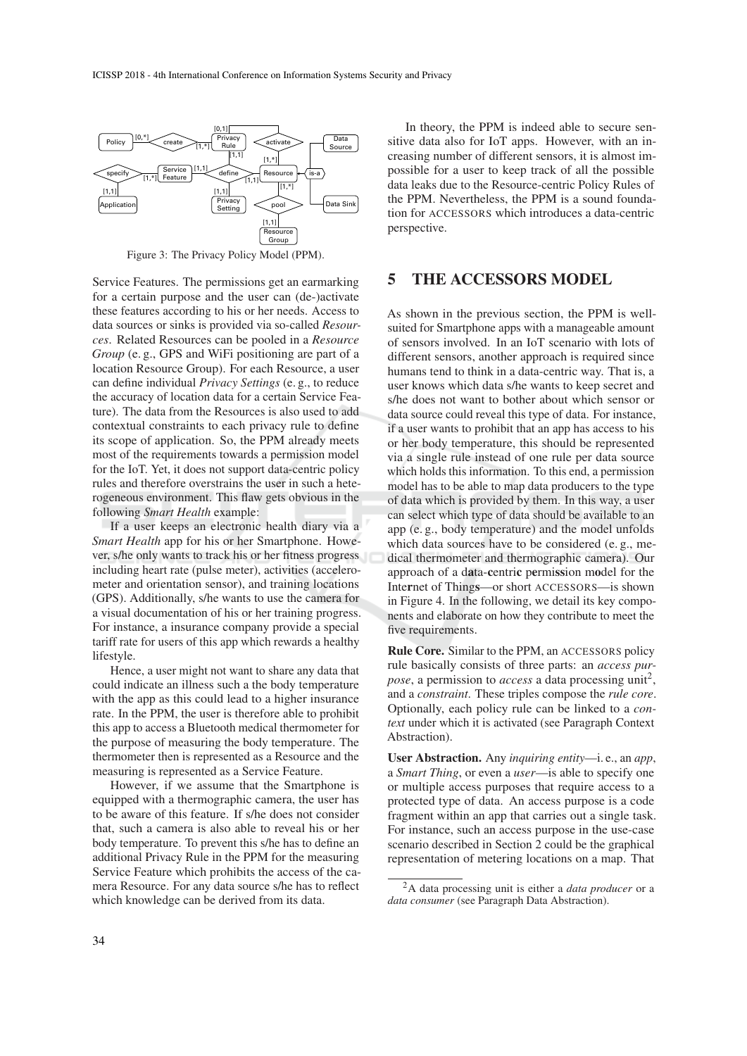

Figure 3: The Privacy Policy Model (PPM).

Service Features. The permissions get an earmarking for a certain purpose and the user can (de-)activate these features according to his or her needs. Access to data sources or sinks is provided via so-called *Resources*. Related Resources can be pooled in a *Resource Group* (e. g., GPS and WiFi positioning are part of a location Resource Group). For each Resource, a user can define individual *Privacy Settings* (e. g., to reduce the accuracy of location data for a certain Service Feature). The data from the Resources is also used to add contextual constraints to each privacy rule to define its scope of application. So, the PPM already meets most of the requirements towards a permission model for the IoT. Yet, it does not support data-centric policy rules and therefore overstrains the user in such a heterogeneous environment. This flaw gets obvious in the following *Smart Health* example:

If a user keeps an electronic health diary via a *Smart Health* app for his or her Smartphone. However, s/he only wants to track his or her fitness progress including heart rate (pulse meter), activities (accelerometer and orientation sensor), and training locations (GPS). Additionally, s/he wants to use the camera for a visual documentation of his or her training progress. For instance, a insurance company provide a special tariff rate for users of this app which rewards a healthy lifestyle.

Hence, a user might not want to share any data that could indicate an illness such a the body temperature with the app as this could lead to a higher insurance rate. In the PPM, the user is therefore able to prohibit this app to access a Bluetooth medical thermometer for the purpose of measuring the body temperature. The thermometer then is represented as a Resource and the measuring is represented as a Service Feature.

However, if we assume that the Smartphone is equipped with a thermographic camera, the user has to be aware of this feature. If s/he does not consider that, such a camera is also able to reveal his or her body temperature. To prevent this s/he has to define an additional Privacy Rule in the PPM for the measuring Service Feature which prohibits the access of the camera Resource. For any data source s/he has to reflect which knowledge can be derived from its data.

In theory, the PPM is indeed able to secure sensitive data also for IoT apps. However, with an increasing number of different sensors, it is almost impossible for a user to keep track of all the possible data leaks due to the Resource-centric Policy Rules of the PPM. Nevertheless, the PPM is a sound foundation for ACCESSORS which introduces a data-centric perspective.

### 5 THE ACCESSORS MODEL

As shown in the previous section, the PPM is wellsuited for Smartphone apps with a manageable amount of sensors involved. In an IoT scenario with lots of different sensors, another approach is required since humans tend to think in a data-centric way. That is, a user knows which data s/he wants to keep secret and s/he does not want to bother about which sensor or data source could reveal this type of data. For instance, if a user wants to prohibit that an app has access to his or her body temperature, this should be represented via a single rule instead of one rule per data source which holds this information. To this end, a permission model has to be able to map data producers to the type of data which is provided by them. In this way, a user can select which type of data should be available to an app (e. g., body temperature) and the model unfolds which data sources have to be considered (e. g., medical thermometer and thermographic camera). Our approach of a data-centric permission model for the Internet of Things—or short ACCESSORS—is shown in Figure 4. In the following, we detail its key components and elaborate on how they contribute to meet the five requirements.

Rule Core. Similar to the PPM, an ACCESSORS policy rule basically consists of three parts: an *access pur*pose, a permission to *access* a data processing unit<sup>2</sup>, and a *constraint*. These triples compose the *rule core*. Optionally, each policy rule can be linked to a *context* under which it is activated (see Paragraph Context Abstraction).

User Abstraction. Any *inquiring entity*—i. e., an *app*, a *Smart Thing*, or even a *user*—is able to specify one or multiple access purposes that require access to a protected type of data. An access purpose is a code fragment within an app that carries out a single task. For instance, such an access purpose in the use-case scenario described in Section 2 could be the graphical representation of metering locations on a map. That

<sup>2</sup>A data processing unit is either a *data producer* or a *data consumer* (see Paragraph Data Abstraction).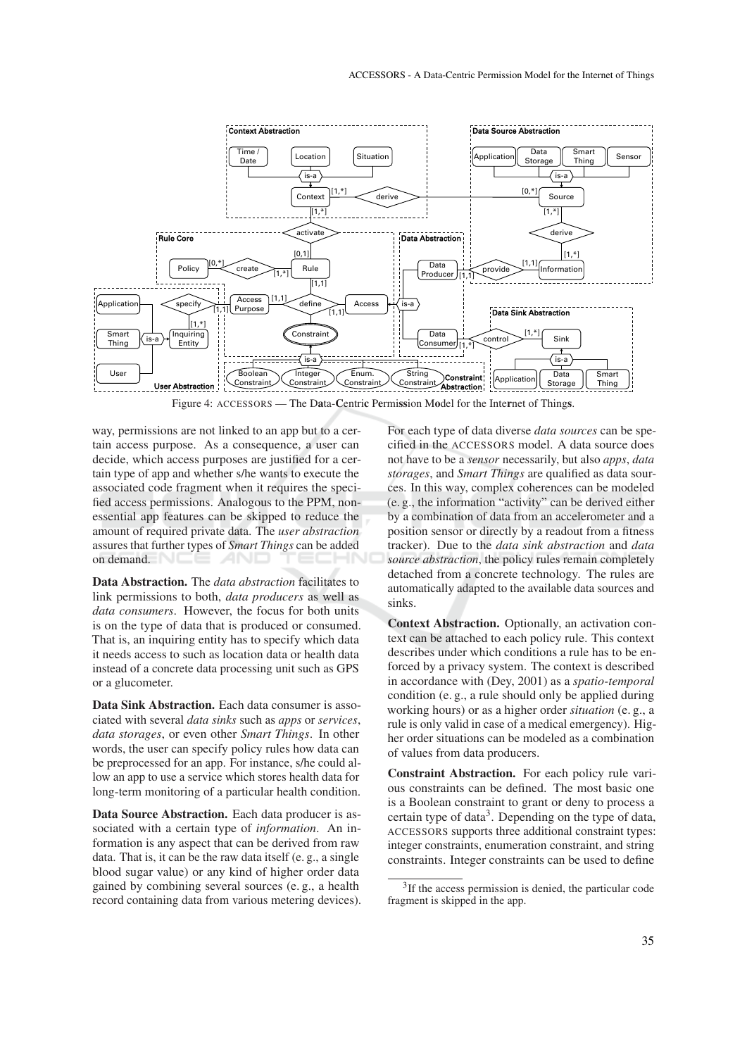

Figure 4: ACCESSORS — The Data-Centric Permission Model for the Internet of Things.

way, permissions are not linked to an app but to a certain access purpose. As a consequence, a user can decide, which access purposes are justified for a certain type of app and whether s/he wants to execute the associated code fragment when it requires the specified access permissions. Analogous to the PPM, nonessential app features can be skipped to reduce the amount of required private data. The *user abstraction* assures that further types of *Smart Things* can be added on demand.

Data Abstraction. The *data abstraction* facilitates to link permissions to both, *data producers* as well as *data consumers*. However, the focus for both units is on the type of data that is produced or consumed. That is, an inquiring entity has to specify which data it needs access to such as location data or health data instead of a concrete data processing unit such as GPS or a glucometer.

Data Sink Abstraction. Each data consumer is associated with several *data sinks* such as *apps* or *services*, *data storages*, or even other *Smart Things*. In other words, the user can specify policy rules how data can be preprocessed for an app. For instance, s/he could allow an app to use a service which stores health data for long-term monitoring of a particular health condition.

Data Source Abstraction. Each data producer is associated with a certain type of *information*. An information is any aspect that can be derived from raw data. That is, it can be the raw data itself (e. g., a single blood sugar value) or any kind of higher order data gained by combining several sources (e. g., a health record containing data from various metering devices).

For each type of data diverse *data sources* can be specified in the ACCESSORS model. A data source does not have to be a *sensor* necessarily, but also *apps*, *data storages*, and *Smart Things* are qualified as data sources. In this way, complex coherences can be modeled (e. g., the information "activity" can be derived either by a combination of data from an accelerometer and a position sensor or directly by a readout from a fitness tracker). Due to the *data sink abstraction* and *data source abstraction*, the policy rules remain completely detached from a concrete technology. The rules are automatically adapted to the available data sources and sinks.

Context Abstraction. Optionally, an activation context can be attached to each policy rule. This context describes under which conditions a rule has to be enforced by a privacy system. The context is described in accordance with (Dey, 2001) as a *spatio-temporal* condition (e. g., a rule should only be applied during working hours) or as a higher order *situation* (e. g., a rule is only valid in case of a medical emergency). Higher order situations can be modeled as a combination of values from data producers.

Constraint Abstraction. For each policy rule various constraints can be defined. The most basic one is a Boolean constraint to grant or deny to process a certain type of data<sup>3</sup>. Depending on the type of data, ACCESSORS supports three additional constraint types: integer constraints, enumeration constraint, and string constraints. Integer constraints can be used to define

<sup>&</sup>lt;sup>3</sup>If the access permission is denied, the particular code fragment is skipped in the app.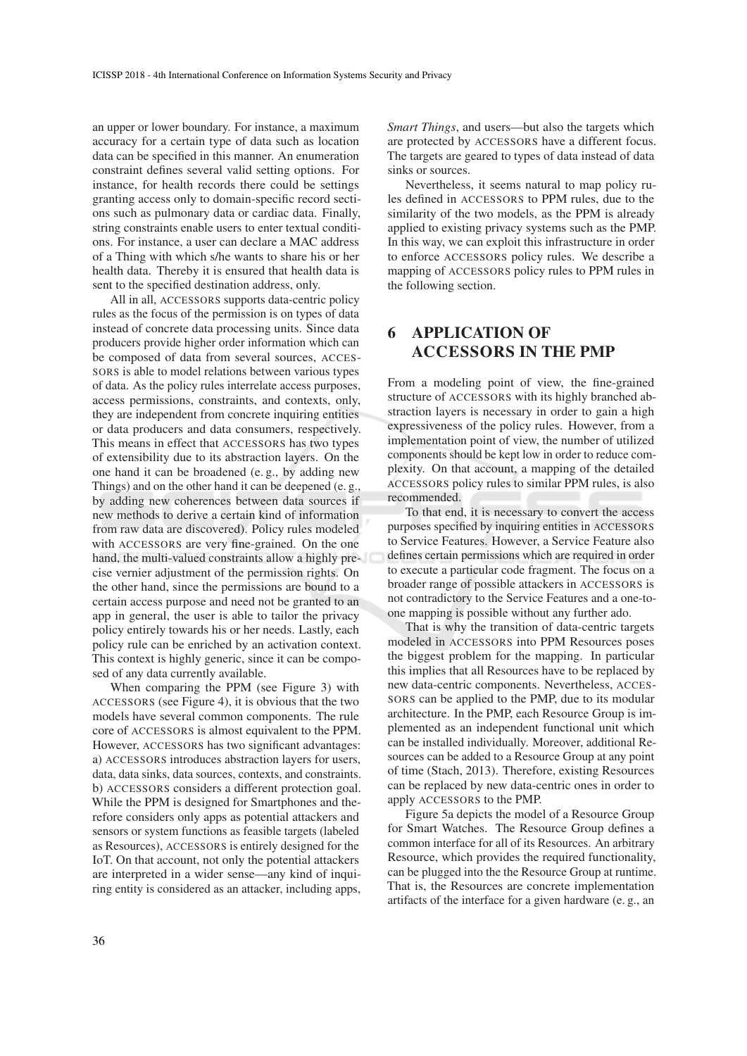an upper or lower boundary. For instance, a maximum accuracy for a certain type of data such as location data can be specified in this manner. An enumeration constraint defines several valid setting options. For instance, for health records there could be settings granting access only to domain-specific record sections such as pulmonary data or cardiac data. Finally, string constraints enable users to enter textual conditions. For instance, a user can declare a MAC address of a Thing with which s/he wants to share his or her health data. Thereby it is ensured that health data is sent to the specified destination address, only.

All in all, ACCESSORS supports data-centric policy rules as the focus of the permission is on types of data instead of concrete data processing units. Since data producers provide higher order information which can be composed of data from several sources, ACCES-SORS is able to model relations between various types of data. As the policy rules interrelate access purposes, access permissions, constraints, and contexts, only, they are independent from concrete inquiring entities or data producers and data consumers, respectively. This means in effect that ACCESSORS has two types of extensibility due to its abstraction layers. On the one hand it can be broadened (e. g., by adding new Things) and on the other hand it can be deepened (e. g., by adding new coherences between data sources if new methods to derive a certain kind of information from raw data are discovered). Policy rules modeled with ACCESSORS are very fine-grained. On the one hand, the multi-valued constraints allow a highly precise vernier adjustment of the permission rights. On the other hand, since the permissions are bound to a certain access purpose and need not be granted to an app in general, the user is able to tailor the privacy policy entirely towards his or her needs. Lastly, each policy rule can be enriched by an activation context. This context is highly generic, since it can be composed of any data currently available.

When comparing the PPM (see Figure 3) with ACCESSORS (see Figure 4), it is obvious that the two models have several common components. The rule core of ACCESSORS is almost equivalent to the PPM. However, ACCESSORS has two significant advantages: a) ACCESSORS introduces abstraction layers for users, data, data sinks, data sources, contexts, and constraints. b) ACCESSORS considers a different protection goal. While the PPM is designed for Smartphones and therefore considers only apps as potential attackers and sensors or system functions as feasible targets (labeled as Resources), ACCESSORS is entirely designed for the IoT. On that account, not only the potential attackers are interpreted in a wider sense—any kind of inquiring entity is considered as an attacker, including apps, *Smart Things*, and users—but also the targets which are protected by ACCESSORS have a different focus. The targets are geared to types of data instead of data sinks or sources.

Nevertheless, it seems natural to map policy rules defined in ACCESSORS to PPM rules, due to the similarity of the two models, as the PPM is already applied to existing privacy systems such as the PMP. In this way, we can exploit this infrastructure in order to enforce ACCESSORS policy rules. We describe a mapping of ACCESSORS policy rules to PPM rules in the following section.

## 6 APPLICATION OF ACCESSORS IN THE PMP

From a modeling point of view, the fine-grained structure of ACCESSORS with its highly branched abstraction layers is necessary in order to gain a high expressiveness of the policy rules. However, from a implementation point of view, the number of utilized components should be kept low in order to reduce complexity. On that account, a mapping of the detailed ACCESSORS policy rules to similar PPM rules, is also recommended.

To that end, it is necessary to convert the access purposes specified by inquiring entities in ACCESSORS to Service Features. However, a Service Feature also defines certain permissions which are required in order to execute a particular code fragment. The focus on a broader range of possible attackers in ACCESSORS is not contradictory to the Service Features and a one-toone mapping is possible without any further ado.

That is why the transition of data-centric targets modeled in ACCESSORS into PPM Resources poses the biggest problem for the mapping. In particular this implies that all Resources have to be replaced by new data-centric components. Nevertheless, ACCES-SORS can be applied to the PMP, due to its modular architecture. In the PMP, each Resource Group is implemented as an independent functional unit which can be installed individually. Moreover, additional Resources can be added to a Resource Group at any point of time (Stach, 2013). Therefore, existing Resources can be replaced by new data-centric ones in order to apply ACCESSORS to the PMP.

Figure 5a depicts the model of a Resource Group for Smart Watches. The Resource Group defines a common interface for all of its Resources. An arbitrary Resource, which provides the required functionality, can be plugged into the the Resource Group at runtime. That is, the Resources are concrete implementation artifacts of the interface for a given hardware (e. g., an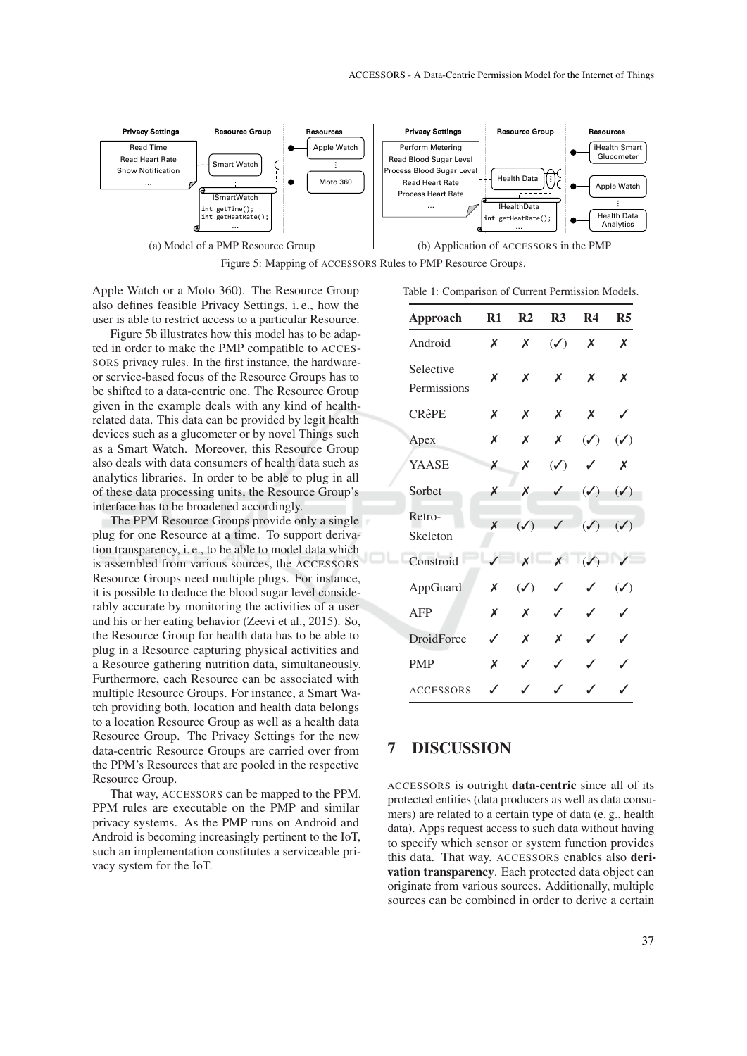

Figure 5: Mapping of ACCESSORS Rules to PMP Resource Groups.

(b) Application of ACCESSORS in the PMP

Apple Watch or a Moto 360). The Resource Group also defines feasible Privacy Settings, i. e., how the user is able to restrict access to a particular Resource.

Figure 5b illustrates how this model has to be adapted in order to make the PMP compatible to ACCES-SORS privacy rules. In the first instance, the hardwareor service-based focus of the Resource Groups has to be shifted to a data-centric one. The Resource Group given in the example deals with any kind of healthrelated data. This data can be provided by legit health devices such as a glucometer or by novel Things such as a Smart Watch. Moreover, this Resource Group also deals with data consumers of health data such as analytics libraries. In order to be able to plug in all of these data processing units, the Resource Group's interface has to be broadened accordingly.

The PPM Resource Groups provide only a single plug for one Resource at a time. To support derivation transparency, i. e., to be able to model data which is assembled from various sources, the ACCESSORS Resource Groups need multiple plugs. For instance, it is possible to deduce the blood sugar level considerably accurate by monitoring the activities of a user and his or her eating behavior (Zeevi et al., 2015). So, the Resource Group for health data has to be able to plug in a Resource capturing physical activities and a Resource gathering nutrition data, simultaneously. Furthermore, each Resource can be associated with multiple Resource Groups. For instance, a Smart Watch providing both, location and health data belongs to a location Resource Group as well as a health data Resource Group. The Privacy Settings for the new data-centric Resource Groups are carried over from the PPM's Resources that are pooled in the respective Resource Group.

That way, ACCESSORS can be mapped to the PPM. PPM rules are executable on the PMP and similar privacy systems. As the PMP runs on Android and Android is becoming increasingly pertinent to the IoT, such an implementation constitutes a serviceable privacy system for the IoT.

| Table 1: Comparison of Current Permission Models. |  |
|---------------------------------------------------|--|
|---------------------------------------------------|--|

| <b>Approach</b>          | $\mathbf{R}1$            | R <sub>2</sub>   | R <sub>3</sub>                       | R <sub>4</sub>                         | R <sub>5</sub>  |
|--------------------------|--------------------------|------------------|--------------------------------------|----------------------------------------|-----------------|
| Android                  | X                        | X                | $(\checkmark)$                       | Х                                      | X               |
| Selective<br>Permissions | X                        | X                | X                                    | X                                      | X               |
| <b>CRêPE</b>             | X                        | X                | X                                    | X                                      |                 |
| Apex                     | X                        | X                | X                                    | $(\checkmark)$                         | $(\mathcal{N})$ |
| YAASE                    | X                        | X                | $(\checkmark)$                       | J                                      | X               |
| Sorbet                   | Х                        | Х                | ✓                                    | $\left(\boldsymbol{\checkmark}\right)$ | $(\checkmark)$  |
| Retro-<br>Skeleton       | X                        | $(\checkmark)$   | J                                    | $(\checkmark)$                         | $(\checkmark)$  |
| Constroid                | $\overline{\mathscr{S}}$ | $\boldsymbol{x}$ | $\mathbf{x}$<br>$\blacktriangleleft$ | $\overline{(\checkmark)}$              |                 |
| AppGuard                 | X                        | $(\checkmark)$   | ✓                                    | ✓                                      | $(\mathcal{N})$ |
| <b>AFP</b>               | X                        | X                | ✓                                    |                                        |                 |
| <b>DroidForce</b>        |                          | X                | X                                    |                                        |                 |
| <b>PMP</b>               | X                        | ✓                |                                      |                                        |                 |
| <b>ACCESSORS</b>         | J                        |                  |                                      |                                        |                 |

## 7 DISCUSSION

ACCESSORS is outright data-centric since all of its protected entities (data producers as well as data consumers) are related to a certain type of data (e. g., health data). Apps request access to such data without having to specify which sensor or system function provides this data. That way, ACCESSORS enables also derivation transparency. Each protected data object can originate from various sources. Additionally, multiple sources can be combined in order to derive a certain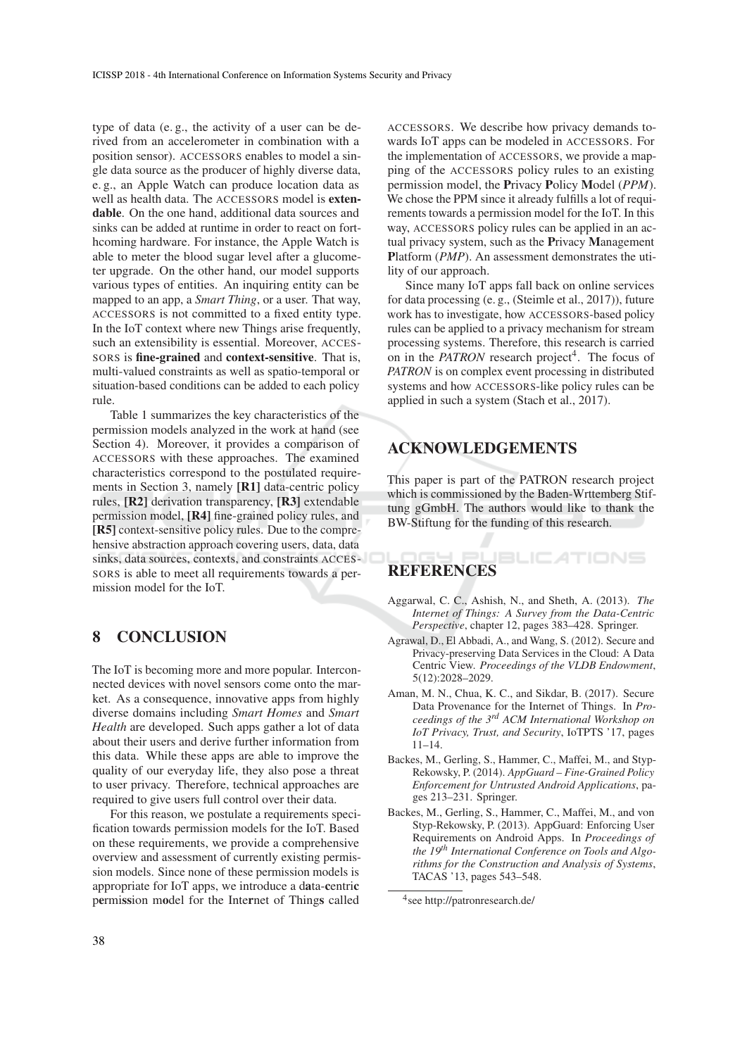type of data (e. g., the activity of a user can be derived from an accelerometer in combination with a position sensor). ACCESSORS enables to model a single data source as the producer of highly diverse data, e. g., an Apple Watch can produce location data as well as health data. The ACCESSORS model is extendable. On the one hand, additional data sources and sinks can be added at runtime in order to react on forthcoming hardware. For instance, the Apple Watch is able to meter the blood sugar level after a glucometer upgrade. On the other hand, our model supports various types of entities. An inquiring entity can be mapped to an app, a *Smart Thing*, or a user. That way, ACCESSORS is not committed to a fixed entity type. In the IoT context where new Things arise frequently, such an extensibility is essential. Moreover, ACCES-SORS is fine-grained and context-sensitive. That is, multi-valued constraints as well as spatio-temporal or situation-based conditions can be added to each policy rule.

Table 1 summarizes the key characteristics of the permission models analyzed in the work at hand (see Section 4). Moreover, it provides a comparison of ACCESSORS with these approaches. The examined characteristics correspond to the postulated requirements in Section 3, namely [R1] data-centric policy rules, [R2] derivation transparency, [R3] extendable permission model, [R4] fine-grained policy rules, and [R5] context-sensitive policy rules. Due to the comprehensive abstraction approach covering users, data, data sinks, data sources, contexts, and constraints ACCES-SORS is able to meet all requirements towards a permission model for the IoT.

## 8 CONCLUSION

The IoT is becoming more and more popular. Interconnected devices with novel sensors come onto the market. As a consequence, innovative apps from highly diverse domains including *Smart Homes* and *Smart Health* are developed. Such apps gather a lot of data about their users and derive further information from this data. While these apps are able to improve the quality of our everyday life, they also pose a threat to user privacy. Therefore, technical approaches are required to give users full control over their data.

For this reason, we postulate a requirements specification towards permission models for the IoT. Based on these requirements, we provide a comprehensive overview and assessment of currently existing permission models. Since none of these permission models is appropriate for IoT apps, we introduce a data-centric permission model for the Internet of Things called

ACCESSORS. We describe how privacy demands towards IoT apps can be modeled in ACCESSORS. For the implementation of ACCESSORS, we provide a mapping of the ACCESSORS policy rules to an existing permission model, the Privacy Policy Model (*PPM*). We chose the PPM since it already fulfills a lot of requirements towards a permission model for the IoT. In this way, ACCESSORS policy rules can be applied in an actual privacy system, such as the Privacy Management Platform (*PMP*). An assessment demonstrates the utility of our approach.

Since many IoT apps fall back on online services for data processing (e. g., (Steimle et al., 2017)), future work has to investigate, how ACCESSORS-based policy rules can be applied to a privacy mechanism for stream processing systems. Therefore, this research is carried on in the *PATRON* research project<sup>4</sup>. The focus of *PATRON* is on complex event processing in distributed systems and how ACCESSORS-like policy rules can be applied in such a system (Stach et al., 2017).

## ACKNOWLEDGEMENTS

This paper is part of the PATRON research project which is commissioned by the Baden-Wrttemberg Stiftung gGmbH. The authors would like to thank the BW-Stiftung for the funding of this research.

# REFERENCES

- Aggarwal, C. C., Ashish, N., and Sheth, A. (2013). *The Internet of Things: A Survey from the Data-Centric Perspective*, chapter 12, pages 383–428. Springer.
- Agrawal, D., El Abbadi, A., and Wang, S. (2012). Secure and Privacy-preserving Data Services in the Cloud: A Data Centric View. *Proceedings of the VLDB Endowment*, 5(12):2028–2029.
- Aman, M. N., Chua, K. C., and Sikdar, B. (2017). Secure Data Provenance for the Internet of Things. In *Proceedings of the 3rd ACM International Workshop on IoT Privacy, Trust, and Security*, IoTPTS '17, pages 11–14.
- Backes, M., Gerling, S., Hammer, C., Maffei, M., and Styp-Rekowsky, P. (2014). *AppGuard – Fine-Grained Policy Enforcement for Untrusted Android Applications*, pages 213–231. Springer.
- Backes, M., Gerling, S., Hammer, C., Maffei, M., and von Styp-Rekowsky, P. (2013). AppGuard: Enforcing User Requirements on Android Apps. In *Proceedings of the 19th International Conference on Tools and Algorithms for the Construction and Analysis of Systems*, TACAS '13, pages 543–548.

<sup>4</sup> see http://patronresearch.de/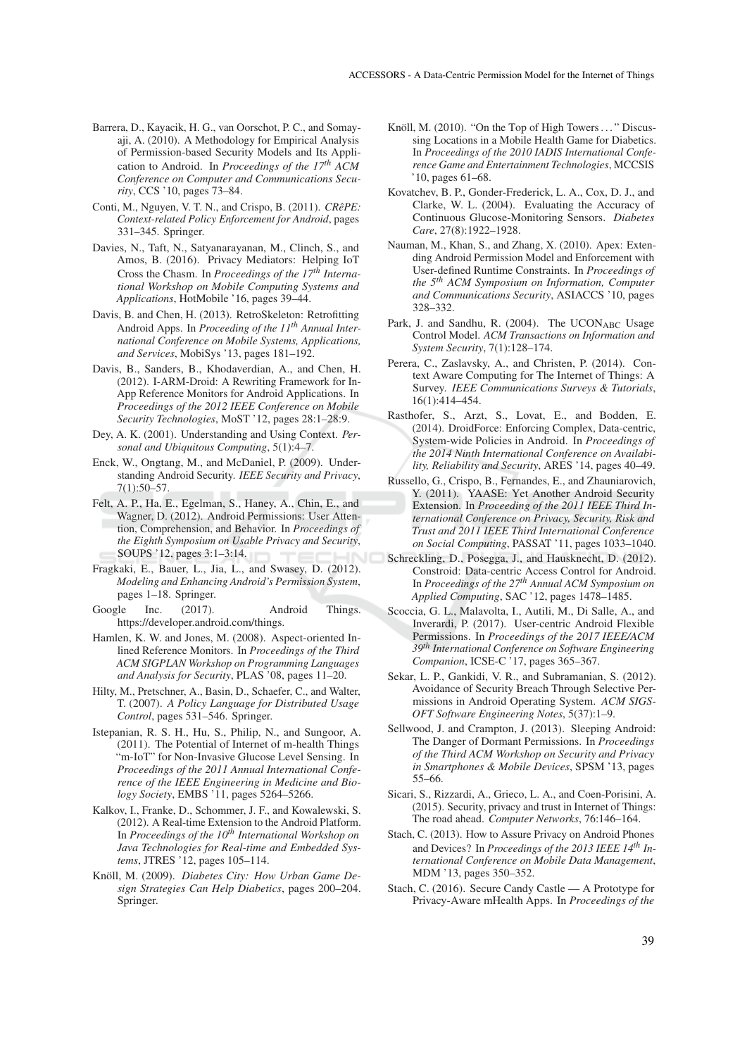- Barrera, D., Kayacik, H. G., van Oorschot, P. C., and Somayaji, A. (2010). A Methodology for Empirical Analysis of Permission-based Security Models and Its Application to Android. In *Proceedings of the 17th ACM Conference on Computer and Communications Security*, CCS '10, pages 73–84.
- Conti, M., Nguyen, V. T. N., and Crispo, B. (2011). *CRePE: ˆ Context-related Policy Enforcement for Android*, pages 331–345. Springer.
- Davies, N., Taft, N., Satyanarayanan, M., Clinch, S., and Amos, B. (2016). Privacy Mediators: Helping IoT Cross the Chasm. In *Proceedings of the 17th International Workshop on Mobile Computing Systems and Applications*, HotMobile '16, pages 39–44.
- Davis, B. and Chen, H. (2013). RetroSkeleton: Retrofitting Android Apps. In *Proceeding of the 11th Annual International Conference on Mobile Systems, Applications, and Services*, MobiSys '13, pages 181–192.
- Davis, B., Sanders, B., Khodaverdian, A., and Chen, H. (2012). I-ARM-Droid: A Rewriting Framework for In-App Reference Monitors for Android Applications. In *Proceedings of the 2012 IEEE Conference on Mobile Security Technologies*, MoST '12, pages 28:1–28:9.
- Dey, A. K. (2001). Understanding and Using Context. *Personal and Ubiquitous Computing*, 5(1):4–7.
- Enck, W., Ongtang, M., and McDaniel, P. (2009). Understanding Android Security. *IEEE Security and Privacy*, 7(1):50–57.
- Felt, A. P., Ha, E., Egelman, S., Haney, A., Chin, E., and Wagner, D. (2012). Android Permissions: User Attention, Comprehension, and Behavior. In *Proceedings of the Eighth Symposium on Usable Privacy and Security*, SOUPS '12, pages 3:1–3:14.
- Fragkaki, E., Bauer, L., Jia, L., and Swasey, D. (2012). *Modeling and Enhancing Android's Permission System*, pages 1–18. Springer.
- Google Inc. (2017). Android Things. https://developer.android.com/things.
- Hamlen, K. W. and Jones, M. (2008). Aspect-oriented Inlined Reference Monitors. In *Proceedings of the Third ACM SIGPLAN Workshop on Programming Languages and Analysis for Security*, PLAS '08, pages 11–20.
- Hilty, M., Pretschner, A., Basin, D., Schaefer, C., and Walter, T. (2007). *A Policy Language for Distributed Usage Control*, pages 531–546. Springer.
- Istepanian, R. S. H., Hu, S., Philip, N., and Sungoor, A. (2011). The Potential of Internet of m-health Things "m-IoT" for Non-Invasive Glucose Level Sensing. In *Proceedings of the 2011 Annual International Conference of the IEEE Engineering in Medicine and Biology Society*, EMBS '11, pages 5264–5266.
- Kalkov, I., Franke, D., Schommer, J. F., and Kowalewski, S. (2012). A Real-time Extension to the Android Platform. In *Proceedings of the 10th International Workshop on Java Technologies for Real-time and Embedded Systems*, JTRES '12, pages 105–114.
- Knöll, M. (2009). *Diabetes City: How Urban Game Design Strategies Can Help Diabetics*, pages 200–204. Springer.
- Knöll, M. (2010). "On the Top of High Towers ..." Discussing Locations in a Mobile Health Game for Diabetics. In *Proceedings of the 2010 IADIS International Conference Game and Entertainment Technologies*, MCCSIS '10, pages 61–68.
- Kovatchev, B. P., Gonder-Frederick, L. A., Cox, D. J., and Clarke, W. L. (2004). Evaluating the Accuracy of Continuous Glucose-Monitoring Sensors. *Diabetes Care*, 27(8):1922–1928.
- Nauman, M., Khan, S., and Zhang, X. (2010). Apex: Extending Android Permission Model and Enforcement with User-defined Runtime Constraints. In *Proceedings of the 5th ACM Symposium on Information, Computer and Communications Security*, ASIACCS '10, pages 328–332.
- Park, J. and Sandhu, R. (2004). The UCONABC Usage Control Model. *ACM Transactions on Information and System Security*, 7(1):128–174.
- Perera, C., Zaslavsky, A., and Christen, P. (2014). Context Aware Computing for The Internet of Things: A Survey. *IEEE Communications Surveys & Tutorials*, 16(1):414–454.
- Rasthofer, S., Arzt, S., Lovat, E., and Bodden, E. (2014). DroidForce: Enforcing Complex, Data-centric, System-wide Policies in Android. In *Proceedings of the 2014 Ninth International Conference on Availability, Reliability and Security*, ARES '14, pages 40–49.
- Russello, G., Crispo, B., Fernandes, E., and Zhauniarovich, Y. (2011). YAASE: Yet Another Android Security Extension. In *Proceeding of the 2011 IEEE Third International Conference on Privacy, Security, Risk and Trust and 2011 IEEE Third International Conference on Social Computing*, PASSAT '11, pages 1033–1040.
- Schreckling, D., Posegga, J., and Hausknecht, D. (2012). Constroid: Data-centric Access Control for Android. In *Proceedings of the 27th Annual ACM Symposium on Applied Computing*, SAC '12, pages 1478–1485.
- Scoccia, G. L., Malavolta, I., Autili, M., Di Salle, A., and Inverardi, P. (2017). User-centric Android Flexible Permissions. In *Proceedings of the 2017 IEEE/ACM 39th International Conference on Software Engineering Companion*, ICSE-C '17, pages 365–367.
- Sekar, L. P., Gankidi, V. R., and Subramanian, S. (2012). Avoidance of Security Breach Through Selective Permissions in Android Operating System. *ACM SIGS-OFT Software Engineering Notes*, 5(37):1–9.
- Sellwood, J. and Crampton, J. (2013). Sleeping Android: The Danger of Dormant Permissions. In *Proceedings of the Third ACM Workshop on Security and Privacy in Smartphones & Mobile Devices*, SPSM '13, pages 55–66.
- Sicari, S., Rizzardi, A., Grieco, L. A., and Coen-Porisini, A. (2015). Security, privacy and trust in Internet of Things: The road ahead. *Computer Networks*, 76:146–164.
- Stach, C. (2013). How to Assure Privacy on Android Phones and Devices? In *Proceedings of the 2013 IEEE 14th International Conference on Mobile Data Management*, MDM '13, pages 350–352.
- Stach, C. (2016). Secure Candy Castle A Prototype for Privacy-Aware mHealth Apps. In *Proceedings of the*